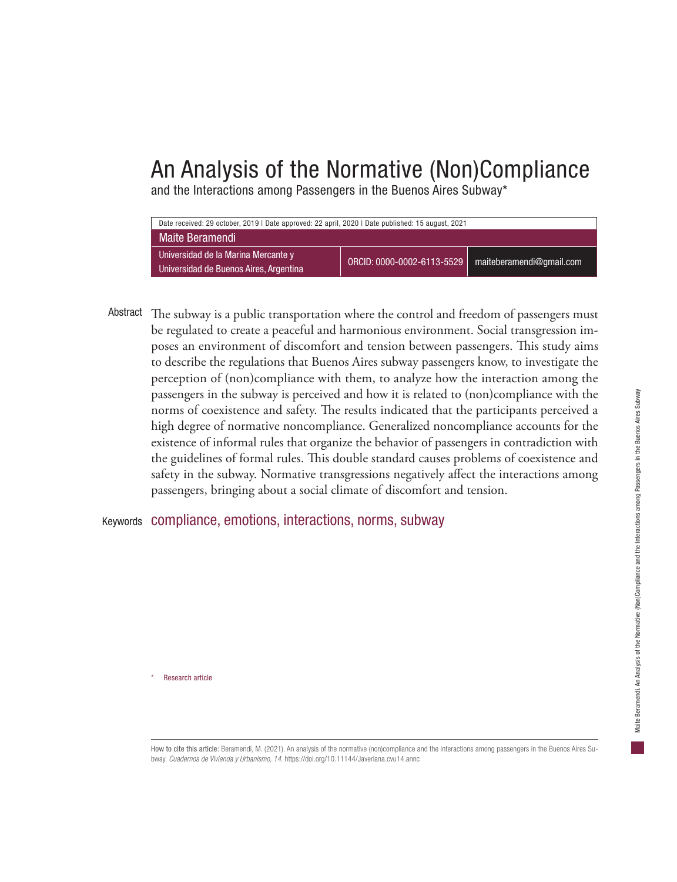## An Analysis of the Normative (Non)Compliance

and the Interactions among Passengers in the Buenos Aires Subway\*



Abstract The subway is a public transportation where the control and freedom of passengers must be regulated to create a peaceful and harmonious environment. Social transgression imposes an environment of discomfort and tension between passengers. This study aims to describe the regulations that Buenos Aires subway passengers know, to investigate the perception of (non)compliance with them, to analyze how the interaction among the passengers in the subway is perceived and how it is related to (non)compliance with the norms of coexistence and safety. The results indicated that the participants perceived a high degree of normative noncompliance. Generalized noncompliance accounts for the existence of informal rules that organize the behavior of passengers in contradiction with the guidelines of formal rules. This double standard causes problems of coexistence and safety in the subway. Normative transgressions negatively affect the interactions among passengers, bringing about a social climate of discomfort and tension.

Keywords compliance, emotions, interactions, norms, subway

Research article

How to cite this article: Beramendi, M. (2021). An analysis of the normative (non)compliance and the interactions among passengers in the Buenos Aires Subway. *Cuadernos de Vivienda y Urbanismo, 14*. https://doi.org/10.11144/Javeriana.cvu14.annc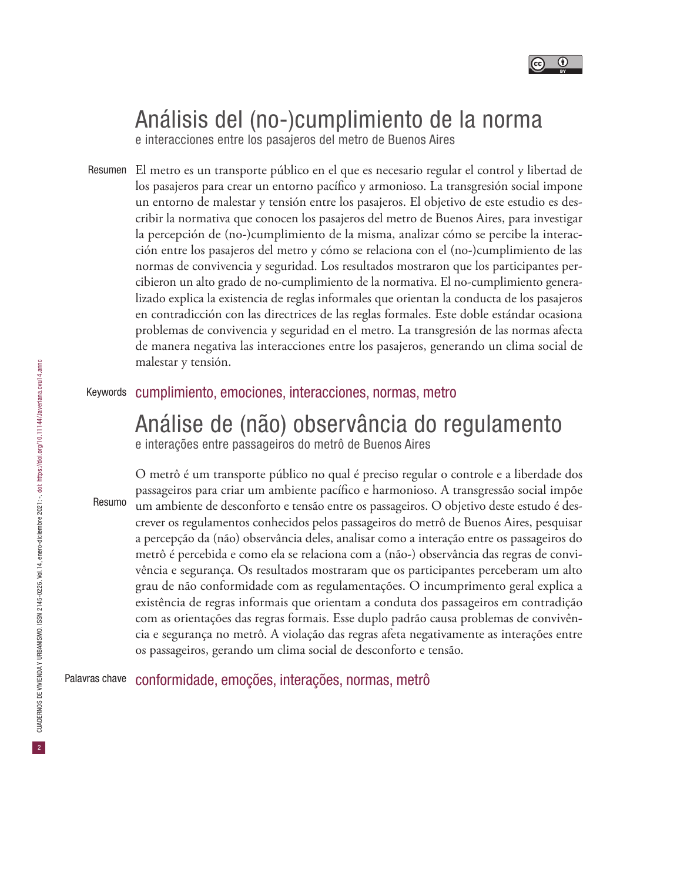

# Análisis del (no-)cumplimiento de la norma

e interacciones entre los pasajeros del metro de Buenos Aires

Resumen El metro es un transporte público en el que es necesario regular el control y libertad de los pasajeros para crear un entorno pacífico y armonioso. La transgresión social impone un entorno de malestar y tensión entre los pasajeros. El objetivo de este estudio es describir la normativa que conocen los pasajeros del metro de Buenos Aires, para investigar la percepción de (no-)cumplimiento de la misma, analizar cómo se percibe la interacción entre los pasajeros del metro y cómo se relaciona con el (no-)cumplimiento de las normas de convivencia y seguridad. Los resultados mostraron que los participantes percibieron un alto grado de no-cumplimiento de la normativa. El no-cumplimiento generalizado explica la existencia de reglas informales que orientan la conducta de los pasajeros en contradicción con las directrices de las reglas formales. Este doble estándar ocasiona problemas de convivencia y seguridad en el metro. La transgresión de las normas afecta de manera negativa las interacciones entre los pasajeros, generando un clima social de malestar y tensión.

## Keywords cumplimiento, emociones, interacciones, normas, metro

# Análise de (não) observância do regulamento

e interações entre passageiros do metrô de Buenos Aires

Resumo

O metrô é um transporte público no qual é preciso regular o controle e a liberdade dos passageiros para criar um ambiente pacífico e harmonioso. A transgressão social impõe um ambiente de desconforto e tensão entre os passageiros. O objetivo deste estudo é descrever os regulamentos conhecidos pelos passageiros do metrô de Buenos Aires, pesquisar a percepção da (não) observância deles, analisar como a interação entre os passageiros do metrô é percebida e como ela se relaciona com a (não-) observância das regras de convivência e segurança. Os resultados mostraram que os participantes perceberam um alto grau de não conformidade com as regulamentações. O incumprimento geral explica a existência de regras informais que orientam a conduta dos passageiros em contradição com as orientações das regras formais. Esse duplo padrão causa problemas de convivência e segurança no metrô. A violação das regras afeta negativamente as interações entre os passageiros, gerando um clima social de desconforto e tensão.

Palavras chave conformidade, emoções, interações, normas, metrô

2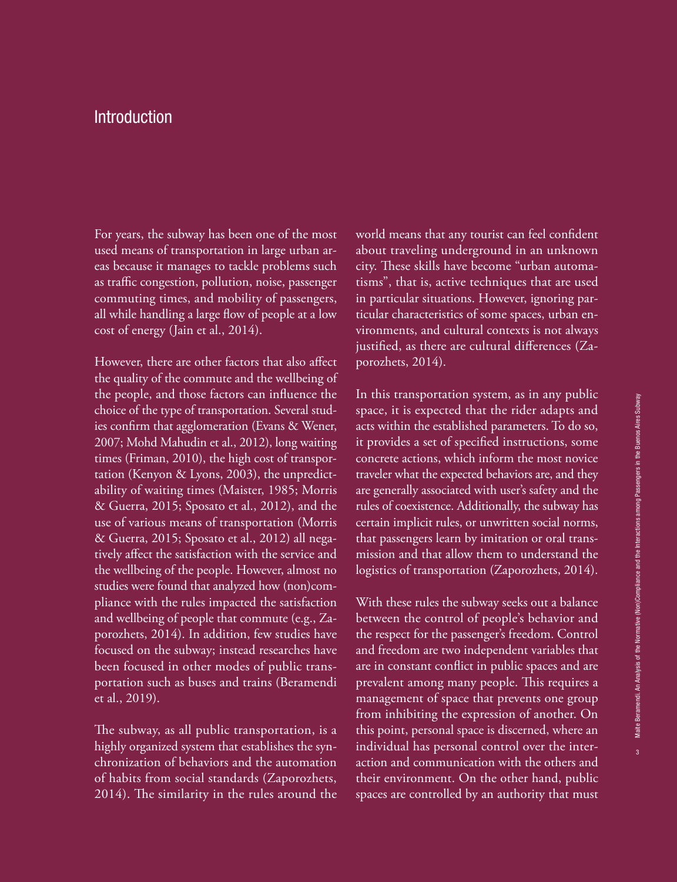## **Introduction**

For years, the subway has been one of the most used means of transportation in large urban areas because it manages to tackle problems such as traffic congestion, pollution, noise, passenger commuting times, and mobility of passengers, all while handling a large flow of people at a low cost of energy (Jain et al., 2014).

However, there are other factors that also affect the quality of the commute and the wellbeing of the people, and those factors can influence the choice of the type of transportation. Several studies confirm that agglomeration (Evans & Wener, 2007; Mohd Mahudin et al., 2012), long waiting times (Friman, 2010), the high cost of transportation (Kenyon & Lyons, 2003), the unpredictability of waiting times (Maister, 1985; Morris & Guerra, 2015; Sposato et al., 2012), and the use of various means of transportation (Morris & Guerra, 2015; Sposato et al., 2012) all negatively affect the satisfaction with the service and the wellbeing of the people. However, almost no studies were found that analyzed how (non)compliance with the rules impacted the satisfaction and wellbeing of people that commute (e.g., Zaporozhets, 2014). In addition, few studies have focused on the subway; instead researches have been focused in other modes of public transportation such as buses and trains (Beramendi et al., 2019).

The subway, as all public transportation, is a highly organized system that establishes the synchronization of behaviors and the automation of habits from social standards (Zaporozhets, 2014). The similarity in the rules around the

world means that any tourist can feel confident about traveling underground in an unknown city. These skills have become "urban automatisms", that is, active techniques that are used in particular situations. However, ignoring particular characteristics of some spaces, urban environments, and cultural contexts is not always justified, as there are cultural differences (Zaporozhets, 2014).

In this transportation system, as in any public space, it is expected that the rider adapts and acts within the established parameters. To do so, it provides a set of specified instructions, some concrete actions, which inform the most novice traveler what the expected behaviors are, and they are generally associated with user's safety and the rules of coexistence. Additionally, the subway has certain implicit rules, or unwritten social norms, that passengers learn by imitation or oral transmission and that allow them to understand the logistics of transportation (Zaporozhets, 2014).

With these rules the subway seeks out a balance between the control of people's behavior and the respect for the passenger's freedom. Control and freedom are two independent variables that are in constant conflict in public spaces and are prevalent among many people. This requires a management of space that prevents one group from inhibiting the expression of another. On this point, personal space is discerned, where an individual has personal control over the interaction and communication with the others and their environment. On the other hand, public spaces are controlled by an authority that must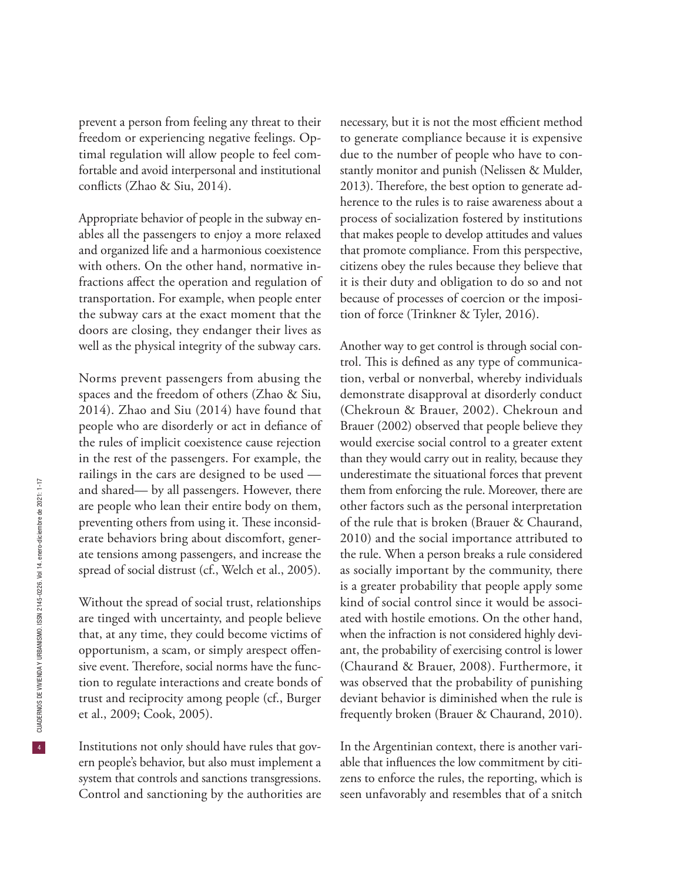prevent a person from feeling any threat to their freedom or experiencing negative feelings. Optimal regulation will allow people to feel comfortable and avoid interpersonal and institutional conflicts (Zhao & Siu, 2014).

Appropriate behavior of people in the subway enables all the passengers to enjoy a more relaxed and organized life and a harmonious coexistence with others. On the other hand, normative infractions affect the operation and regulation of transportation. For example, when people enter the subway cars at the exact moment that the doors are closing, they endanger their lives as well as the physical integrity of the subway cars.

Norms prevent passengers from abusing the spaces and the freedom of others (Zhao & Siu, 2014). Zhao and Siu (2014) have found that people who are disorderly or act in defiance of the rules of implicit coexistence cause rejection in the rest of the passengers. For example, the railings in the cars are designed to be used and shared— by all passengers. However, there are people who lean their entire body on them, preventing others from using it. These inconsiderate behaviors bring about discomfort, generate tensions among passengers, and increase the spread of social distrust (cf., Welch et al., 2005).

Without the spread of social trust, relationships are tinged with uncertainty, and people believe that, at any time, they could become victims of opportunism, a scam, or simply arespect offensive event. Therefore, social norms have the function to regulate interactions and create bonds of trust and reciprocity among people (cf., Burger et al., 2009; Cook, 2005).

Institutions not only should have rules that govern people's behavior, but also must implement a system that controls and sanctions transgressions. Control and sanctioning by the authorities are

necessary, but it is not the most efficient method to generate compliance because it is expensive due to the number of people who have to constantly monitor and punish (Nelissen & Mulder, 2013). Therefore, the best option to generate adherence to the rules is to raise awareness about a process of socialization fostered by institutions that makes people to develop attitudes and values that promote compliance. From this perspective, citizens obey the rules because they believe that it is their duty and obligation to do so and not because of processes of coercion or the imposition of force (Trinkner & Tyler, 2016).

Another way to get control is through social control. This is defined as any type of communication, verbal or nonverbal, whereby individuals demonstrate disapproval at disorderly conduct (Chekroun & Brauer, 2002). Chekroun and Brauer (2002) observed that people believe they would exercise social control to a greater extent than they would carry out in reality, because they underestimate the situational forces that prevent them from enforcing the rule. Moreover, there are other factors such as the personal interpretation of the rule that is broken (Brauer & Chaurand, 2010) and the social importance attributed to the rule. When a person breaks a rule considered as socially important by the community, there is a greater probability that people apply some kind of social control since it would be associated with hostile emotions. On the other hand, when the infraction is not considered highly deviant, the probability of exercising control is lower (Chaurand & Brauer, 2008). Furthermore, it was observed that the probability of punishing deviant behavior is diminished when the rule is frequently broken (Brauer & Chaurand, 2010).

In the Argentinian context, there is another variable that influences the low commitment by citizens to enforce the rules, the reporting, which is seen unfavorably and resembles that of a snitch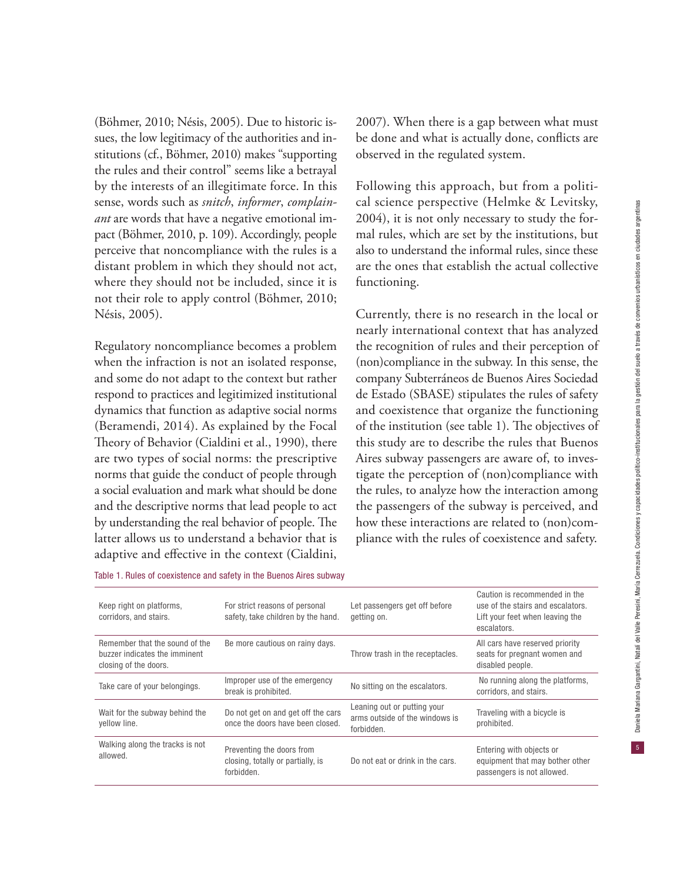(Böhmer, 2010; Nésis, 2005). Due to historic issues, the low legitimacy of the authorities and institutions (cf., Böhmer, 2010) makes "supporting the rules and their control" seems like a betrayal by the interests of an illegitimate force. In this sense, words such as *snitch*, *informer*, *complainant* are words that have a negative emotional impact (Böhmer, 2010, p. 109). Accordingly, people perceive that noncompliance with the rules is a distant problem in which they should not act, where they should not be included, since it is not their role to apply control (Böhmer, 2010; Nésis, 2005).

Regulatory noncompliance becomes a problem when the infraction is not an isolated response, and some do not adapt to the context but rather respond to practices and legitimized institutional dynamics that function as adaptive social norms (Beramendi, 2014). As explained by the Focal Theory of Behavior (Cialdini et al., 1990), there are two types of social norms: the prescriptive norms that guide the conduct of people through a social evaluation and mark what should be done and the descriptive norms that lead people to act by understanding the real behavior of people. The latter allows us to understand a behavior that is adaptive and effective in the context (Cialdini,

2007). When there is a gap between what must be done and what is actually done, conflicts are observed in the regulated system.

Following this approach, but from a political science perspective (Helmke & Levitsky, 2004), it is not only necessary to study the formal rules, which are set by the institutions, but also to understand the informal rules, since these are the ones that establish the actual collective functioning.

Currently, there is no research in the local or nearly international context that has analyzed the recognition of rules and their perception of (non)compliance in the subway. In this sense, the company Subterráneos de Buenos Aires Sociedad de Estado (SBASE) stipulates the rules of safety and coexistence that organize the functioning of the institution (see table 1). The objectives of this study are to describe the rules that Buenos Aires subway passengers are aware of, to investigate the perception of (non)compliance with the rules, to analyze how the interaction among the passengers of the subway is perceived, and how these interactions are related to (non)compliance with the rules of coexistence and safety.

| Table 1. Rules of coexistence and safety in the Buenos Aires subway |  |  |  |  |  |  |  |  |  |  |  |
|---------------------------------------------------------------------|--|--|--|--|--|--|--|--|--|--|--|
|---------------------------------------------------------------------|--|--|--|--|--|--|--|--|--|--|--|

| Keep right on platforms,<br>corridors, and stairs.                                       | For strict reasons of personal<br>safety, take children by the hand.         | Let passengers get off before<br>getting on.                                | Caution is recommended in the<br>use of the stairs and escalators.<br>Lift your feet when leaving the<br>escalators. |
|------------------------------------------------------------------------------------------|------------------------------------------------------------------------------|-----------------------------------------------------------------------------|----------------------------------------------------------------------------------------------------------------------|
| Remember that the sound of the<br>buzzer indicates the imminent<br>closing of the doors. | Be more cautious on rainy days.                                              | Throw trash in the receptacles.                                             | All cars have reserved priority<br>seats for pregnant women and<br>disabled people.                                  |
| Take care of your belongings.                                                            | Improper use of the emergency<br>break is prohibited.                        | No sitting on the escalators.                                               | No running along the platforms,<br>corridors, and stairs.                                                            |
| Wait for the subway behind the<br>yellow line.                                           | Do not get on and get off the cars<br>once the doors have been closed.       | Leaning out or putting your<br>arms outside of the windows is<br>forbidden. | Traveling with a bicycle is<br>prohibited.                                                                           |
| Walking along the tracks is not<br>allowed.                                              | Preventing the doors from<br>closing, totally or partially, is<br>forbidden. | Do not eat or drink in the cars.                                            | Entering with objects or<br>equipment that may bother other<br>passengers is not allowed.                            |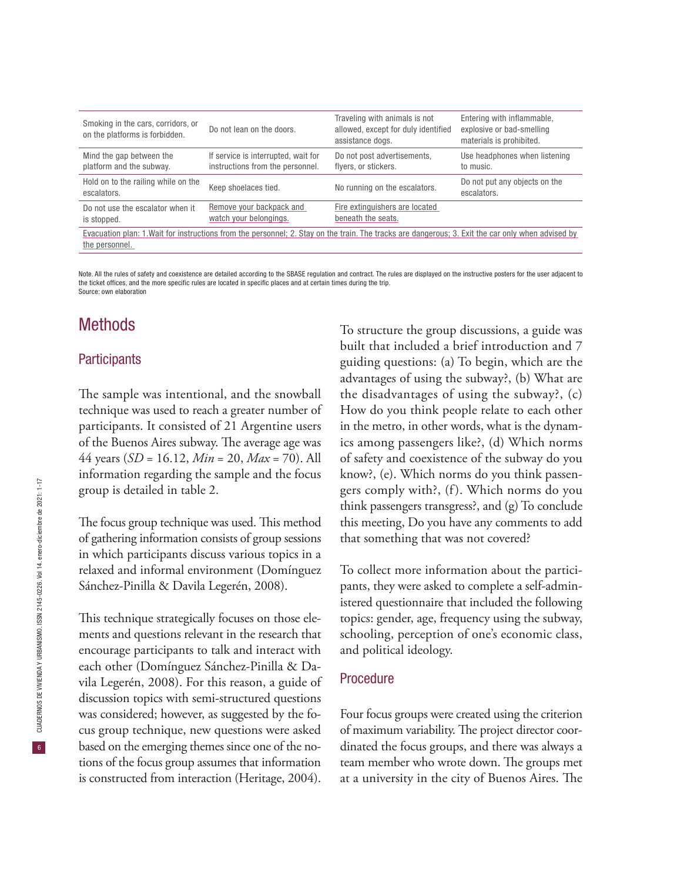| Smoking in the cars, corridors, or<br>on the platforms is forbidden.                                                                               | Do not lean on the doors.                                               | Traveling with animals is not<br>allowed, except for duly identified<br>assistance dogs. | Entering with inflammable,<br>explosive or bad-smelling<br>materials is prohibited. |  |
|----------------------------------------------------------------------------------------------------------------------------------------------------|-------------------------------------------------------------------------|------------------------------------------------------------------------------------------|-------------------------------------------------------------------------------------|--|
| Mind the gap between the<br>platform and the subway.                                                                                               | If service is interrupted, wait for<br>instructions from the personnel. | Do not post advertisements,<br>flyers, or stickers.                                      | Use headphones when listening<br>to music.                                          |  |
| Hold on to the railing while on the<br>escalators.                                                                                                 | Keep shoelaces tied.                                                    | No running on the escalators.                                                            | Do not put any objects on the<br>escalators.                                        |  |
| Do not use the escalator when it<br>is stopped.                                                                                                    | Remove your backpack and<br>watch your belongings.                      | Fire extinguishers are located<br>beneath the seats.                                     |                                                                                     |  |
| Evacuation plan: 1. Wait for instructions from the personnel; 2. Stay on the train. The tracks are dangerous; 3. Exit the car only when advised by |                                                                         |                                                                                          |                                                                                     |  |

the personnel.

Note. All the rules of safety and coexistence are detailed according to the SBASE regulation and contract. The rules are displayed on the instructive posters for the user adjacent to the ticket offices, and the more specific rules are located in specific places and at certain times during the trip. Source: own elaboration

## **Methods**

### **Participants**

The sample was intentional, and the snowball technique was used to reach a greater number of participants. It consisted of 21 Argentine users of the Buenos Aires subway. The average age was 44 years (*SD* = 16.12, *Min* = 20, *Max* = 70). All information regarding the sample and the focus group is detailed in table 2.

The focus group technique was used. This method of gathering information consists of group sessions in which participants discuss various topics in a relaxed and informal environment (Domínguez Sánchez-Pinilla & Davila Legerén, 2008).

This technique strategically focuses on those elements and questions relevant in the research that encourage participants to talk and interact with each other (Domínguez Sánchez-Pinilla & Davila Legerén, 2008). For this reason, a guide of discussion topics with semi-structured questions was considered; however, as suggested by the focus group technique, new questions were asked based on the emerging themes since one of the notions of the focus group assumes that information is constructed from interaction (Heritage, 2004).

To structure the group discussions, a guide was built that included a brief introduction and 7 guiding questions: (a) To begin, which are the advantages of using the subway?, (b) What are the disadvantages of using the subway?, (c) How do you think people relate to each other in the metro, in other words, what is the dynamics among passengers like?, (d) Which norms of safety and coexistence of the subway do you know?, (e). Which norms do you think passengers comply with?, (f). Which norms do you think passengers transgress?, and (g) To conclude this meeting, Do you have any comments to add that something that was not covered?

To collect more information about the participants, they were asked to complete a self-administered questionnaire that included the following topics: gender, age, frequency using the subway, schooling, perception of one's economic class, and political ideology.

#### Procedure

Four focus groups were created using the criterion of maximum variability. The project director coordinated the focus groups, and there was always a team member who wrote down. The groups met at a university in the city of Buenos Aires. The

 $6<sup>°</sup>$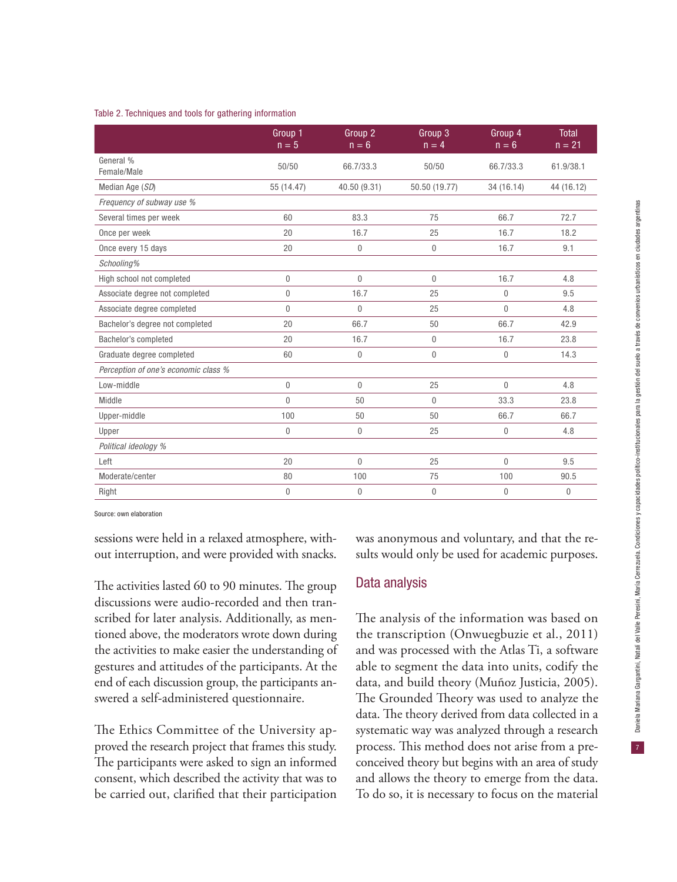#### Table 2. Techniques and tools for gathering information

|                                      | Group 1<br>$n = 5$ | Group 2<br>$n = 6$ | Group 3<br>$n = 4$ | Group 4<br>$n = 6$ | <b>Total</b><br>$n = 21$ |
|--------------------------------------|--------------------|--------------------|--------------------|--------------------|--------------------------|
| General %<br>Female/Male             | 50/50              | 66.7/33.3          | 50/50              | 66.7/33.3          | 61.9/38.1                |
| Median Age (SD)                      | 55 (14.47)         | 40.50 (9.31)       | 50.50 (19.77)      | 34 (16.14)         | 44 (16.12)               |
| Frequency of subway use %            |                    |                    |                    |                    |                          |
| Several times per week               | 60                 | 83.3               | 75                 | 66.7               | 72.7                     |
| Once per week                        | 20                 | 16.7               | 25                 | 16.7               | 18.2                     |
| Once every 15 days                   | 20                 | $\mathbf{0}$       | $\theta$           | 16.7               | 9.1                      |
| Schooling%                           |                    |                    |                    |                    |                          |
| High school not completed            | $\overline{0}$     | $\theta$           | $\theta$           | 16.7               | 4.8                      |
| Associate degree not completed       | $\overline{0}$     | 16.7               | 25                 | $\theta$           | 9.5                      |
| Associate degree completed           | 0                  | $\theta$           | 25                 | $\overline{0}$     | 4.8                      |
| Bachelor's degree not completed      | 20                 | 66.7               | 50                 | 66.7               | 42.9                     |
| Bachelor's completed                 | 20                 | 16.7               | $\mathbf 0$        | 16.7               | 23.8                     |
| Graduate degree completed            | 60                 | $\mathbf{0}$       | $\theta$           | $\mathbf 0$        | 14.3                     |
| Perception of one's economic class % |                    |                    |                    |                    |                          |
| Low-middle                           | 0                  | $\mathbf{0}$       | 25                 | $\mathbf 0$        | 4.8                      |
| Middle                               | $\Omega$           | 50                 | $\theta$           | 33.3               | 23.8                     |
| Upper-middle                         | 100                | 50                 | 50                 | 66.7               | 66.7                     |
| Upper                                | 0                  | $\mathbf{0}$       | 25                 | $\mathbf 0$        | 4.8                      |
| Political ideology %                 |                    |                    |                    |                    |                          |
| Left                                 | 20                 | $\Omega$           | 25                 | $\mathbf 0$        | 9.5                      |
| Moderate/center                      | 80                 | 100                | 75                 | 100                | 90.5                     |
| Right                                | 0                  | $\mathbf{0}$       | $\mathbf{0}$       | $\mathbf 0$        | $\theta$                 |

Source: own elaboration

sessions were held in a relaxed atmosphere, without interruption, and were provided with snacks.

The activities lasted 60 to 90 minutes. The group discussions were audio-recorded and then transcribed for later analysis. Additionally, as mentioned above, the moderators wrote down during the activities to make easier the understanding of gestures and attitudes of the participants. At the end of each discussion group, the participants answered a self-administered questionnaire.

The Ethics Committee of the University approved the research project that frames this study. The participants were asked to sign an informed consent, which described the activity that was to be carried out, clarified that their participation

was anonymous and voluntary, and that the results would only be used for academic purposes.

#### Data analysis

The analysis of the information was based on the transcription (Onwuegbuzie et al., 2011) and was processed with the Atlas Ti, a software able to segment the data into units, codify the data, and build theory (Muñoz Justicia, 2005). The Grounded Theory was used to analyze the data. The theory derived from data collected in a systematic way was analyzed through a research process. This method does not arise from a preconceived theory but begins with an area of study and allows the theory to emerge from the data. To do so, it is necessary to focus on the material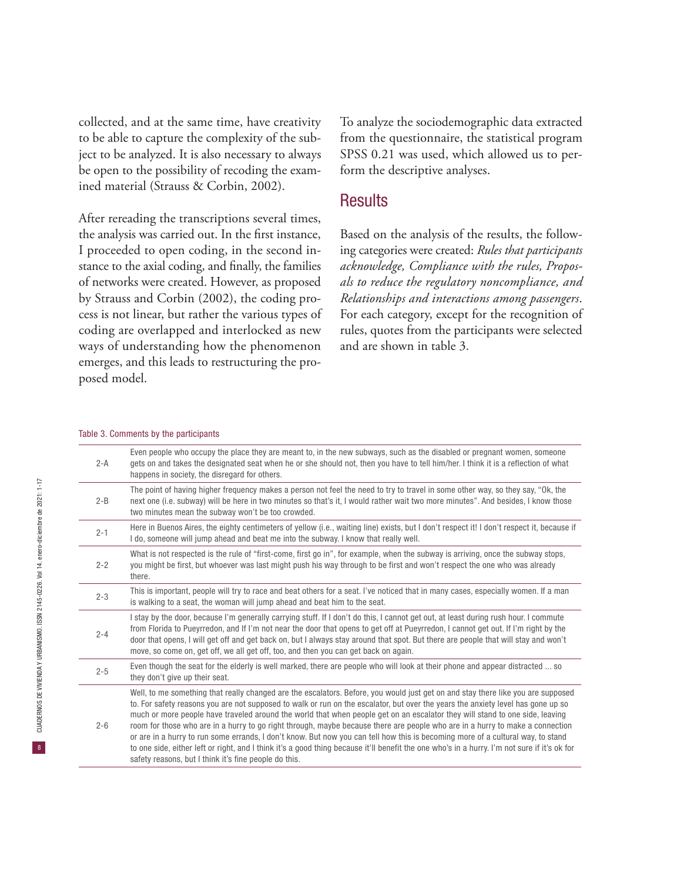collected, and at the same time, have creativity to be able to capture the complexity of the subject to be analyzed. It is also necessary to always be open to the possibility of recoding the examined material (Strauss & Corbin, 2002).

After rereading the transcriptions several times, the analysis was carried out. In the first instance, I proceeded to open coding, in the second instance to the axial coding, and finally, the families of networks were created. However, as proposed by Strauss and Corbin (2002), the coding process is not linear, but rather the various types of coding are overlapped and interlocked as new ways of understanding how the phenomenon emerges, and this leads to restructuring the proposed model.

To analyze the sociodemographic data extracted from the questionnaire, the statistical program SPSS 0.21 was used, which allowed us to perform the descriptive analyses.

## **Results**

Based on the analysis of the results, the following categories were created: *Rules that participants acknowledge, Compliance with the rules, Proposals to reduce the regulatory noncompliance, and Relationships and interactions among passengers*. For each category, except for the recognition of rules, quotes from the participants were selected and are shown in table 3.

#### Table 3. Comments by the participants

| $2-A$   | Even people who occupy the place they are meant to, in the new subways, such as the disabled or pregnant women, someone<br>gets on and takes the designated seat when he or she should not, then you have to tell him/her. I think it is a reflection of what<br>happens in society, the disregard for others.                                                                                                                                                                                                                                                                                                                                                                                                                                                                                                                                                                    |
|---------|-----------------------------------------------------------------------------------------------------------------------------------------------------------------------------------------------------------------------------------------------------------------------------------------------------------------------------------------------------------------------------------------------------------------------------------------------------------------------------------------------------------------------------------------------------------------------------------------------------------------------------------------------------------------------------------------------------------------------------------------------------------------------------------------------------------------------------------------------------------------------------------|
| $2 - B$ | The point of having higher frequency makes a person not feel the need to try to travel in some other way, so they say, "Ok, the<br>next one (i.e. subway) will be here in two minutes so that's it, I would rather wait two more minutes". And besides, I know those<br>two minutes mean the subway won't be too crowded.                                                                                                                                                                                                                                                                                                                                                                                                                                                                                                                                                         |
| $2 - 1$ | Here in Buenos Aires, the eighty centimeters of yellow (i.e., waiting line) exists, but I don't respect it! I don't respect it, because if<br>I do, someone will jump ahead and beat me into the subway. I know that really well.                                                                                                                                                                                                                                                                                                                                                                                                                                                                                                                                                                                                                                                 |
| $2 - 2$ | What is not respected is the rule of "first-come, first go in", for example, when the subway is arriving, once the subway stops,<br>you might be first, but whoever was last might push his way through to be first and won't respect the one who was already<br>there.                                                                                                                                                                                                                                                                                                                                                                                                                                                                                                                                                                                                           |
| $2 - 3$ | This is important, people will try to race and beat others for a seat. I've noticed that in many cases, especially women. If a man<br>is walking to a seat, the woman will jump ahead and beat him to the seat.                                                                                                                                                                                                                                                                                                                                                                                                                                                                                                                                                                                                                                                                   |
| $2 - 4$ | I stay by the door, because I'm generally carrying stuff. If I don't do this, I cannot get out, at least during rush hour. I commute<br>from Florida to Pueyrredon, and If I'm not near the door that opens to get off at Pueyrredon, I cannot get out. If I'm right by the<br>door that opens, I will get off and get back on, but I always stay around that spot. But there are people that will stay and won't<br>move, so come on, get off, we all get off, too, and then you can get back on again.                                                                                                                                                                                                                                                                                                                                                                          |
| $2 - 5$ | Even though the seat for the elderly is well marked, there are people who will look at their phone and appear distracted  so<br>they don't give up their seat.                                                                                                                                                                                                                                                                                                                                                                                                                                                                                                                                                                                                                                                                                                                    |
| $2 - 6$ | Well, to me something that really changed are the escalators. Before, you would just get on and stay there like you are supposed<br>to. For safety reasons you are not supposed to walk or run on the escalator, but over the years the anxiety level has gone up so<br>much or more people have traveled around the world that when people get on an escalator they will stand to one side, leaving<br>room for those who are in a hurry to go right through, maybe because there are people who are in a hurry to make a connection<br>or are in a hurry to run some errands, I don't know. But now you can tell how this is becoming more of a cultural way, to stand<br>to one side, either left or right, and I think it's a good thing because it'll benefit the one who's in a hurry. I'm not sure if it's ok for<br>safety reasons, but I think it's fine people do this. |

 $\vert 8 \vert$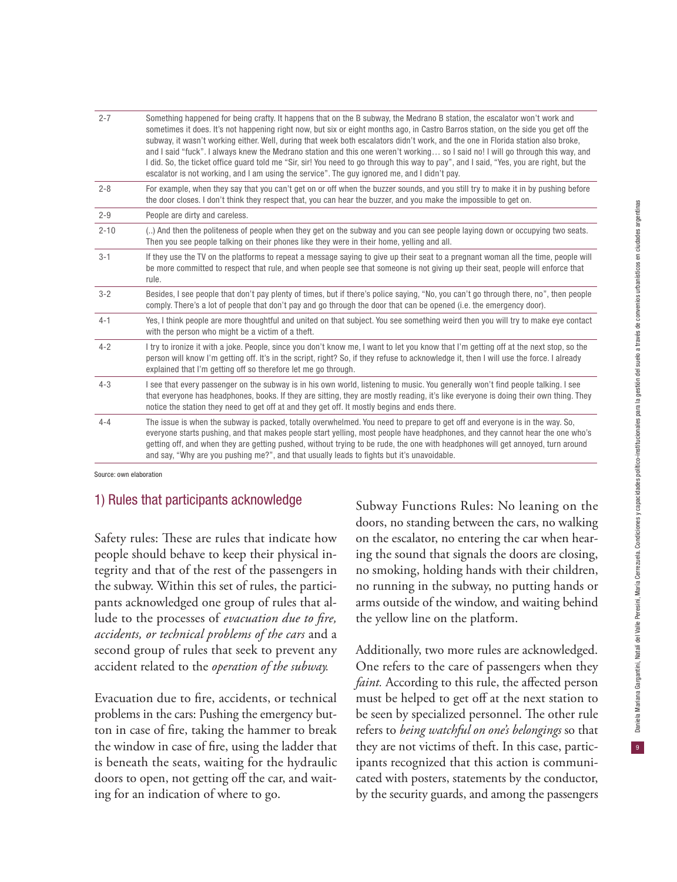| $2 - 7$  | Something happened for being crafty. It happens that on the B subway, the Medrano B station, the escalator won't work and<br>sometimes it does. It's not happening right now, but six or eight months ago, in Castro Barros station, on the side you get off the<br>subway, it wasn't working either. Well, during that week both escalators didn't work, and the one in Florida station also broke,<br>and I said "fuck". I always knew the Medrano station and this one weren't working so I said no! I will go through this way, and<br>I did. So, the ticket office guard told me "Sir, sir! You need to go through this way to pay", and I said, "Yes, you are right, but the<br>escalator is not working, and I am using the service". The guy ignored me, and I didn't pay. |
|----------|------------------------------------------------------------------------------------------------------------------------------------------------------------------------------------------------------------------------------------------------------------------------------------------------------------------------------------------------------------------------------------------------------------------------------------------------------------------------------------------------------------------------------------------------------------------------------------------------------------------------------------------------------------------------------------------------------------------------------------------------------------------------------------|
| $2 - 8$  | For example, when they say that you can't get on or off when the buzzer sounds, and you still try to make it in by pushing before<br>the door closes. I don't think they respect that, you can hear the buzzer, and you make the impossible to get on.                                                                                                                                                                                                                                                                                                                                                                                                                                                                                                                             |
| $2 - 9$  | People are dirty and careless.                                                                                                                                                                                                                                                                                                                                                                                                                                                                                                                                                                                                                                                                                                                                                     |
| $2 - 10$ | () And then the politeness of people when they get on the subway and you can see people laying down or occupying two seats.<br>Then you see people talking on their phones like they were in their home, yelling and all.                                                                                                                                                                                                                                                                                                                                                                                                                                                                                                                                                          |
| $3 - 1$  | If they use the TV on the platforms to repeat a message saying to give up their seat to a pregnant woman all the time, people will<br>be more committed to respect that rule, and when people see that someone is not giving up their seat, people will enforce that<br>rule.                                                                                                                                                                                                                                                                                                                                                                                                                                                                                                      |
| $3 - 2$  | Besides, I see people that don't pay plenty of times, but if there's police saying, "No, you can't go through there, no", then people<br>comply. There's a lot of people that don't pay and go through the door that can be opened (i.e. the emergency door).                                                                                                                                                                                                                                                                                                                                                                                                                                                                                                                      |
| $4 - 1$  | Yes, I think people are more thoughtful and united on that subject. You see something weird then you will try to make eye contact<br>with the person who might be a victim of a theft.                                                                                                                                                                                                                                                                                                                                                                                                                                                                                                                                                                                             |
| $4 - 2$  | I try to ironize it with a joke. People, since you don't know me, I want to let you know that I'm getting off at the next stop, so the<br>person will know I'm getting off. It's in the script, right? So, if they refuse to acknowledge it, then I will use the force. I already<br>explained that I'm getting off so therefore let me go through.                                                                                                                                                                                                                                                                                                                                                                                                                                |
| $4 - 3$  | I see that every passenger on the subway is in his own world, listening to music. You generally won't find people talking. I see<br>that everyone has headphones, books. If they are sitting, they are mostly reading, it's like everyone is doing their own thing. They<br>notice the station they need to get off at and they get off. It mostly begins and ends there.                                                                                                                                                                                                                                                                                                                                                                                                          |
| $4 - 4$  | The issue is when the subway is packed, totally overwhelmed. You need to prepare to get off and everyone is in the way. So,<br>everyone starts pushing, and that makes people start yelling, most people have headphones, and they cannot hear the one who's<br>getting off, and when they are getting pushed, without trying to be rude, the one with headphones will get annoyed, turn around<br>and say, "Why are you pushing me?", and that usually leads to fights but it's unavoidable.                                                                                                                                                                                                                                                                                      |

Source: own elaboration

### 1) Rules that participants acknowledge

Safety rules: These are rules that indicate how people should behave to keep their physical integrity and that of the rest of the passengers in the subway. Within this set of rules, the participants acknowledged one group of rules that allude to the processes of *evacuation due to fire, accidents, or technical problems of the cars* and a second group of rules that seek to prevent any accident related to the *operation of the subway.*

Evacuation due to fire, accidents, or technical problems in the cars: Pushing the emergency button in case of fire, taking the hammer to break the window in case of fire, using the ladder that is beneath the seats, waiting for the hydraulic doors to open, not getting off the car, and waiting for an indication of where to go.

Subway Functions Rules: No leaning on the doors, no standing between the cars, no walking on the escalator, no entering the car when hearing the sound that signals the doors are closing, no smoking, holding hands with their children, no running in the subway, no putting hands or arms outside of the window, and waiting behind the yellow line on the platform.

Additionally, two more rules are acknowledged. One refers to the care of passengers when they *faint.* According to this rule, the affected person must be helped to get off at the next station to be seen by specialized personnel. The other rule refers to *being watchful on one's belongings* so that they are not victims of theft. In this case, participants recognized that this action is communicated with posters, statements by the conductor, by the security guards, and among the passengers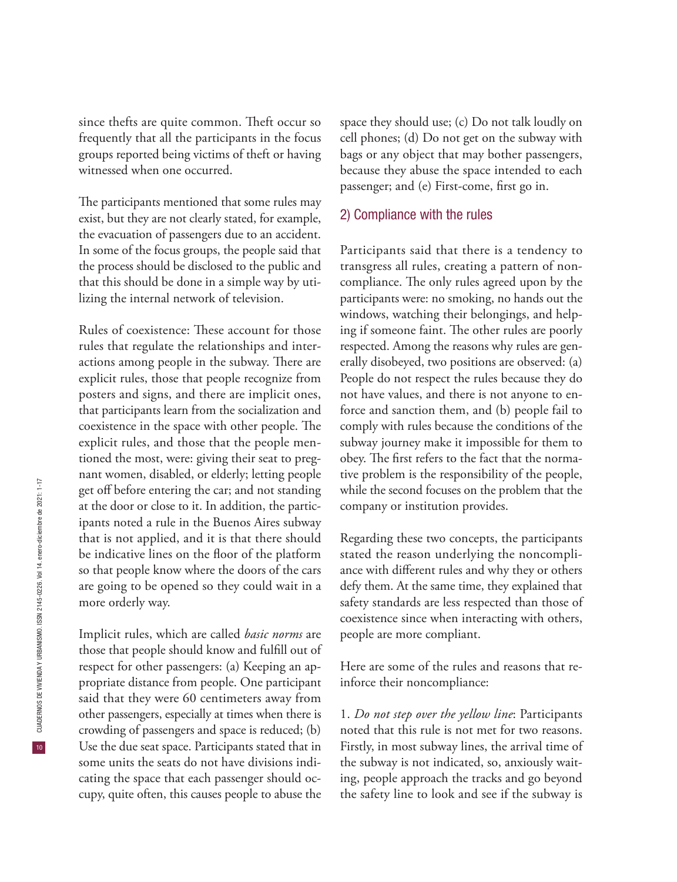since thefts are quite common. Theft occur so frequently that all the participants in the focus groups reported being victims of theft or having witnessed when one occurred.

The participants mentioned that some rules may exist, but they are not clearly stated, for example, the evacuation of passengers due to an accident. In some of the focus groups, the people said that the process should be disclosed to the public and that this should be done in a simple way by utilizing the internal network of television.

Rules of coexistence: These account for those rules that regulate the relationships and interactions among people in the subway. There are explicit rules, those that people recognize from posters and signs, and there are implicit ones, that participants learn from the socialization and coexistence in the space with other people. The explicit rules, and those that the people mentioned the most, were: giving their seat to pregnant women, disabled, or elderly; letting people get off before entering the car; and not standing at the door or close to it. In addition, the participants noted a rule in the Buenos Aires subway that is not applied, and it is that there should be indicative lines on the floor of the platform so that people know where the doors of the cars are going to be opened so they could wait in a more orderly way.

Implicit rules, which are called *basic norms* are those that people should know and fulfill out of respect for other passengers: (a) Keeping an appropriate distance from people. One participant said that they were 60 centimeters away from other passengers, especially at times when there is crowding of passengers and space is reduced; (b) Use the due seat space. Participants stated that in some units the seats do not have divisions indicating the space that each passenger should occupy, quite often, this causes people to abuse the

space they should use; (c) Do not talk loudly on cell phones; (d) Do not get on the subway with bags or any object that may bother passengers, because they abuse the space intended to each passenger; and (e) First-come, first go in.

#### 2) Compliance with the rules

Participants said that there is a tendency to transgress all rules, creating a pattern of noncompliance. The only rules agreed upon by the participants were: no smoking, no hands out the windows, watching their belongings, and helping if someone faint. The other rules are poorly respected. Among the reasons why rules are generally disobeyed, two positions are observed: (a) People do not respect the rules because they do not have values, and there is not anyone to enforce and sanction them, and (b) people fail to comply with rules because the conditions of the subway journey make it impossible for them to obey. The first refers to the fact that the normative problem is the responsibility of the people, while the second focuses on the problem that the company or institution provides.

Regarding these two concepts, the participants stated the reason underlying the noncompliance with different rules and why they or others defy them. At the same time, they explained that safety standards are less respected than those of coexistence since when interacting with others, people are more compliant.

Here are some of the rules and reasons that reinforce their noncompliance:

1. *Do not step over the yellow line*: Participants noted that this rule is not met for two reasons. Firstly, in most subway lines, the arrival time of the subway is not indicated, so, anxiously waiting, people approach the tracks and go beyond the safety line to look and see if the subway is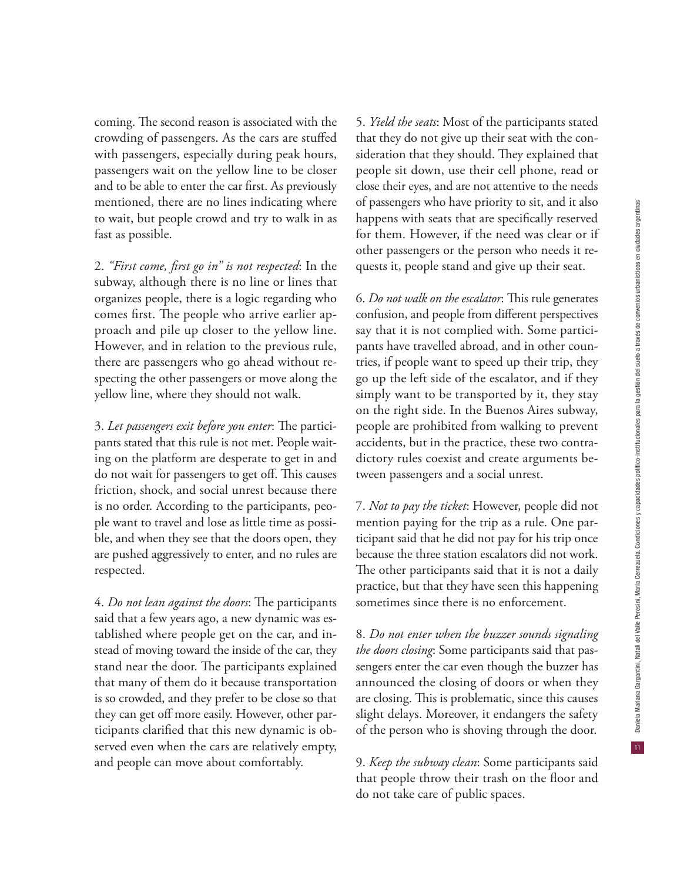coming. The second reason is associated with the crowding of passengers. As the cars are stuffed with passengers, especially during peak hours, passengers wait on the yellow line to be closer and to be able to enter the car first. As previously mentioned, there are no lines indicating where to wait, but people crowd and try to walk in as fast as possible.

2. *"First come, first go in" is not respected*: In the subway, although there is no line or lines that organizes people, there is a logic regarding who comes first. The people who arrive earlier approach and pile up closer to the yellow line. However, and in relation to the previous rule, there are passengers who go ahead without respecting the other passengers or move along the yellow line, where they should not walk.

3. *Let passengers exit before you enter*: The participants stated that this rule is not met. People waiting on the platform are desperate to get in and do not wait for passengers to get off. This causes friction, shock, and social unrest because there is no order. According to the participants, people want to travel and lose as little time as possible, and when they see that the doors open, they are pushed aggressively to enter, and no rules are respected.

4. *Do not lean against the doors*: The participants said that a few years ago, a new dynamic was established where people get on the car, and instead of moving toward the inside of the car, they stand near the door. The participants explained that many of them do it because transportation is so crowded, and they prefer to be close so that they can get off more easily. However, other participants clarified that this new dynamic is observed even when the cars are relatively empty, and people can move about comfortably.

5. *Yield the seats*: Most of the participants stated that they do not give up their seat with the consideration that they should. They explained that people sit down, use their cell phone, read or close their eyes, and are not attentive to the needs of passengers who have priority to sit, and it also happens with seats that are specifically reserved for them. However, if the need was clear or if other passengers or the person who needs it requests it, people stand and give up their seat.

6. *Do not walk on the escalator*: This rule generates confusion, and people from different perspectives say that it is not complied with. Some participants have travelled abroad, and in other countries, if people want to speed up their trip, they go up the left side of the escalator, and if they simply want to be transported by it, they stay on the right side. In the Buenos Aires subway, people are prohibited from walking to prevent accidents, but in the practice, these two contradictory rules coexist and create arguments between passengers and a social unrest.

7. *Not to pay the ticket*: However, people did not mention paying for the trip as a rule. One participant said that he did not pay for his trip once because the three station escalators did not work. The other participants said that it is not a daily practice, but that they have seen this happening sometimes since there is no enforcement.

8. *Do not enter when the buzzer sounds signaling the doors closing*: Some participants said that passengers enter the car even though the buzzer has announced the closing of doors or when they are closing. This is problematic, since this causes slight delays. Moreover, it endangers the safety of the person who is shoving through the door.

9. *Keep the subway clean*: Some participants said that people throw their trash on the floor and do not take care of public spaces.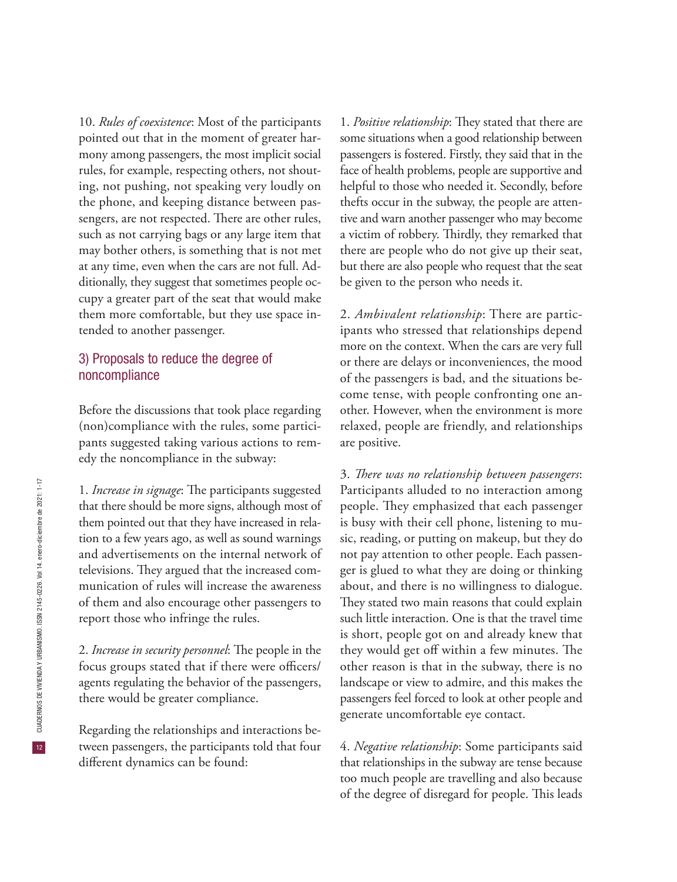10. *Rules of coexistence*: Most of the participants pointed out that in the moment of greater harmony among passengers, the most implicit social rules, for example, respecting others, not shouting, not pushing, not speaking very loudly on the phone, and keeping distance between passengers, are not respected. There are other rules, such as not carrying bags or any large item that may bother others, is something that is not met at any time, even when the cars are not full. Additionally, they suggest that sometimes people occupy a greater part of the seat that would make them more comfortable, but they use space intended to another passenger.

### 3) Proposals to reduce the degree of noncompliance

Before the discussions that took place regarding (non)compliance with the rules, some participants suggested taking various actions to remedy the noncompliance in the subway:

1. *Increase in signage*: The participants suggested that there should be more signs, although most of them pointed out that they have increased in relation to a few years ago, as well as sound warnings and advertisements on the internal network of televisions. They argued that the increased communication of rules will increase the awareness of them and also encourage other passengers to report those who infringe the rules.

2. *Increase in security personnel*: The people in the focus groups stated that if there were officers/ agents regulating the behavior of the passengers, there would be greater compliance.

Regarding the relationships and interactions between passengers, the participants told that four different dynamics can be found:

1. *Positive relationship*: They stated that there are some situations when a good relationship between passengers is fostered. Firstly, they said that in the face of health problems, people are supportive and helpful to those who needed it. Secondly, before thefts occur in the subway, the people are attentive and warn another passenger who may become a victim of robbery. Thirdly, they remarked that there are people who do not give up their seat, but there are also people who request that the seat be given to the person who needs it.

2. *Ambivalent relationship*: There are participants who stressed that relationships depend more on the context. When the cars are very full or there are delays or inconveniences, the mood of the passengers is bad, and the situations become tense, with people confronting one another. However, when the environment is more relaxed, people are friendly, and relationships are positive.

3. *There was no relationship between passengers*: Participants alluded to no interaction among people. They emphasized that each passenger is busy with their cell phone, listening to music, reading, or putting on makeup, but they do not pay attention to other people. Each passenger is glued to what they are doing or thinking about, and there is no willingness to dialogue. They stated two main reasons that could explain such little interaction. One is that the travel time is short, people got on and already knew that they would get off within a few minutes. The other reason is that in the subway, there is no landscape or view to admire, and this makes the passengers feel forced to look at other people and generate uncomfortable eye contact.

4. *Negative relationship*: Some participants said that relationships in the subway are tense because too much people are travelling and also because of the degree of disregard for people. This leads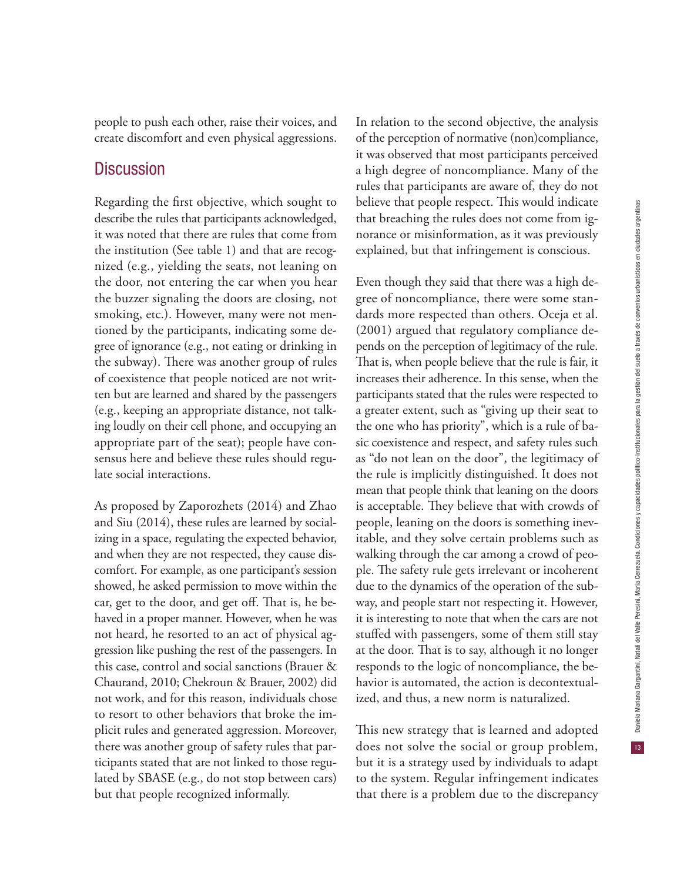$13<sup>°</sup>$ 

people to push each other, raise their voices, and create discomfort and even physical aggressions.

## **Discussion**

Regarding the first objective, which sought to describe the rules that participants acknowledged, it was noted that there are rules that come from the institution (See table 1) and that are recognized (e.g., yielding the seats, not leaning on the door, not entering the car when you hear the buzzer signaling the doors are closing, not smoking, etc.). However, many were not mentioned by the participants, indicating some degree of ignorance (e.g., not eating or drinking in the subway). There was another group of rules of coexistence that people noticed are not written but are learned and shared by the passengers (e.g., keeping an appropriate distance, not talking loudly on their cell phone, and occupying an appropriate part of the seat); people have consensus here and believe these rules should regulate social interactions.

As proposed by Zaporozhets (2014) and Zhao and Siu (2014), these rules are learned by socializing in a space, regulating the expected behavior, and when they are not respected, they cause discomfort. For example, as one participant's session showed, he asked permission to move within the car, get to the door, and get off. That is, he behaved in a proper manner. However, when he was not heard, he resorted to an act of physical aggression like pushing the rest of the passengers. In this case, control and social sanctions (Brauer & Chaurand, 2010; Chekroun & Brauer, 2002) did not work, and for this reason, individuals chose to resort to other behaviors that broke the implicit rules and generated aggression. Moreover, there was another group of safety rules that participants stated that are not linked to those regulated by SBASE (e.g., do not stop between cars) but that people recognized informally.

In relation to the second objective, the analysis of the perception of normative (non)compliance, it was observed that most participants perceived a high degree of noncompliance. Many of the rules that participants are aware of, they do not believe that people respect. This would indicate that breaching the rules does not come from ignorance or misinformation, as it was previously explained, but that infringement is conscious.

Even though they said that there was a high degree of noncompliance, there were some standards more respected than others. Oceja et al. (2001) argued that regulatory compliance depends on the perception of legitimacy of the rule. That is, when people believe that the rule is fair, it increases their adherence. In this sense, when the participants stated that the rules were respected to a greater extent, such as "giving up their seat to the one who has priority", which is a rule of basic coexistence and respect, and safety rules such as "do not lean on the door", the legitimacy of the rule is implicitly distinguished. It does not mean that people think that leaning on the doors is acceptable. They believe that with crowds of people, leaning on the doors is something inevitable, and they solve certain problems such as walking through the car among a crowd of people. The safety rule gets irrelevant or incoherent due to the dynamics of the operation of the subway, and people start not respecting it. However, it is interesting to note that when the cars are not stuffed with passengers, some of them still stay at the door. That is to say, although it no longer responds to the logic of noncompliance, the behavior is automated, the action is decontextualized, and thus, a new norm is naturalized.

This new strategy that is learned and adopted does not solve the social or group problem, but it is a strategy used by individuals to adapt to the system. Regular infringement indicates that there is a problem due to the discrepancy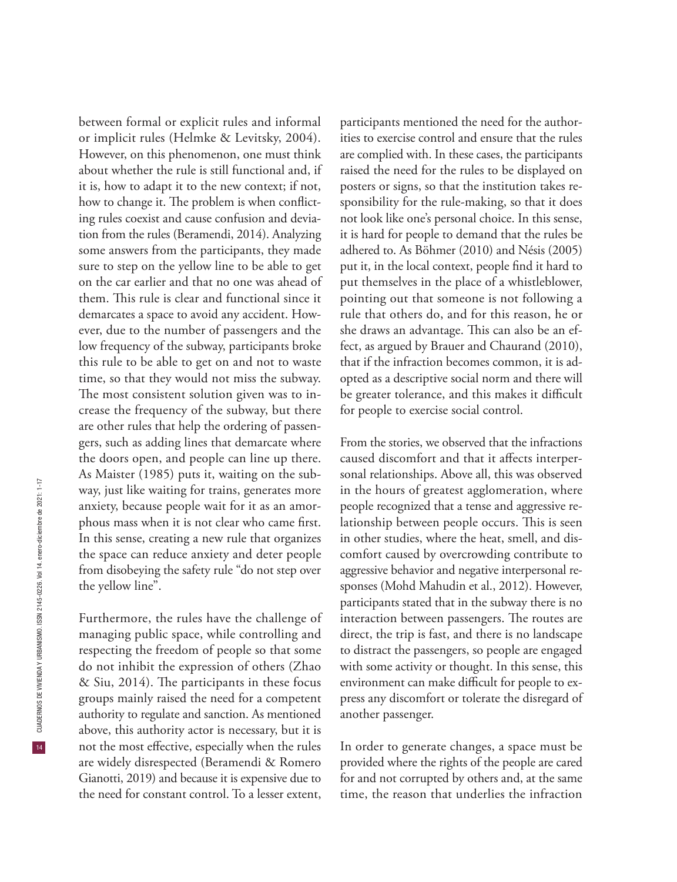However, on this phenomenon, one must think about whether the rule is still functional and, if it is, how to adapt it to the new context; if not, how to change it. The problem is when conflicting rules coexist and cause confusion and deviation from the rules (Beramendi, 2014). Analyzing some answers from the participants, they made sure to step on the yellow line to be able to get the yellow line".

on the car earlier and that no one was ahead of them. This rule is clear and functional since it demarcates a space to avoid any accident. However, due to the number of passengers and the low frequency of the subway, participants broke this rule to be able to get on and not to waste time, so that they would not miss the subway. The most consistent solution given was to increase the frequency of the subway, but there are other rules that help the ordering of passengers, such as adding lines that demarcate where the doors open, and people can line up there. As Maister (1985) puts it, waiting on the subway, just like waiting for trains, generates more anxiety, because people wait for it as an amorphous mass when it is not clear who came first. In this sense, creating a new rule that organizes the space can reduce anxiety and deter people from disobeying the safety rule "do not step over Furthermore, the rules have the challenge of managing public space, while controlling and respecting the freedom of people so that some do not inhibit the expression of others (Zhao & Siu, 2014). The participants in these focus groups mainly raised the need for a competent authority to regulate and sanction. As mentioned above, this authority actor is necessary, but it is not the most effective, especially when the rules are widely disrespected (Beramendi & Romero Gianotti, 2019) and because it is expensive due to the need for constant control. To a lesser extent,

between formal or explicit rules and informal or implicit rules (Helmke & Levitsky, 2004).

participants mentioned the need for the authorities to exercise control and ensure that the rules are complied with. In these cases, the participants raised the need for the rules to be displayed on posters or signs, so that the institution takes responsibility for the rule-making, so that it does not look like one's personal choice. In this sense, it is hard for people to demand that the rules be adhered to. As Böhmer (2010) and Nésis (2005) put it, in the local context, people find it hard to put themselves in the place of a whistleblower, pointing out that someone is not following a rule that others do, and for this reason, he or she draws an advantage. This can also be an effect, as argued by Brauer and Chaurand (2010), that if the infraction becomes common, it is adopted as a descriptive social norm and there will be greater tolerance, and this makes it difficult for people to exercise social control.

From the stories, we observed that the infractions caused discomfort and that it affects interpersonal relationships. Above all, this was observed in the hours of greatest agglomeration, where people recognized that a tense and aggressive relationship between people occurs. This is seen in other studies, where the heat, smell, and discomfort caused by overcrowding contribute to aggressive behavior and negative interpersonal responses (Mohd Mahudin et al., 2012). However, participants stated that in the subway there is no interaction between passengers. The routes are direct, the trip is fast, and there is no landscape to distract the passengers, so people are engaged with some activity or thought. In this sense, this environment can make difficult for people to express any discomfort or tolerate the disregard of another passenger.

In order to generate changes, a space must be provided where the rights of the people are cared for and not corrupted by others and, at the same time, the reason that underlies the infraction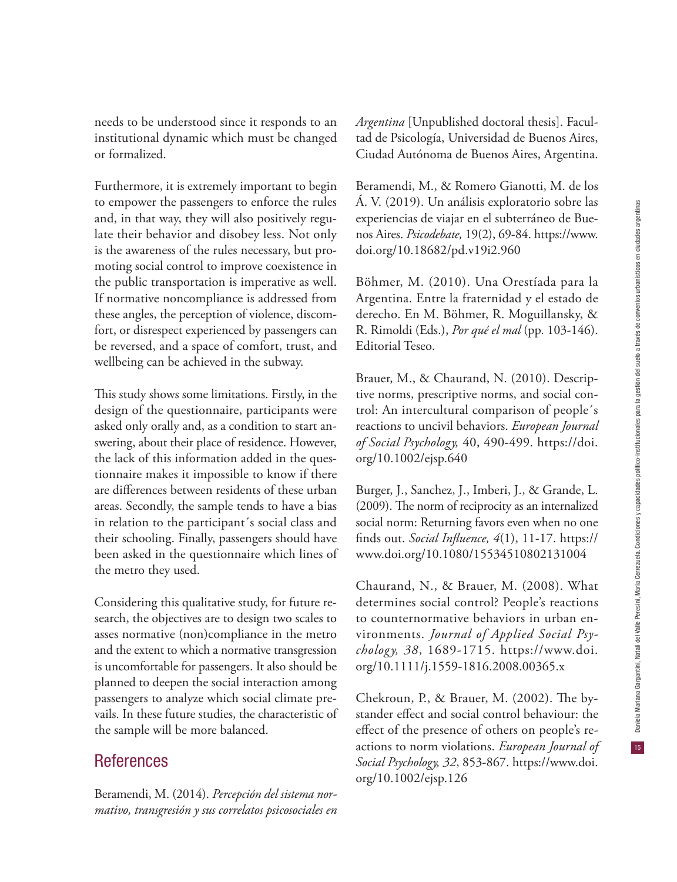$15<sup>°</sup>$ 

needs to be understood since it responds to an institutional dynamic which must be changed or formalized.

Furthermore, it is extremely important to begin to empower the passengers to enforce the rules and, in that way, they will also positively regulate their behavior and disobey less. Not only is the awareness of the rules necessary, but promoting social control to improve coexistence in the public transportation is imperative as well. If normative noncompliance is addressed from these angles, the perception of violence, discomfort, or disrespect experienced by passengers can be reversed, and a space of comfort, trust, and wellbeing can be achieved in the subway.

This study shows some limitations. Firstly, in the design of the questionnaire, participants were asked only orally and, as a condition to start answering, about their place of residence. However, the lack of this information added in the questionnaire makes it impossible to know if there are differences between residents of these urban areas. Secondly, the sample tends to have a bias in relation to the participant´s social class and their schooling. Finally, passengers should have been asked in the questionnaire which lines of the metro they used.

Considering this qualitative study, for future research, the objectives are to design two scales to asses normative (non)compliance in the metro and the extent to which a normative transgression is uncomfortable for passengers. It also should be planned to deepen the social interaction among passengers to analyze which social climate prevails. In these future studies, the characteristic of the sample will be more balanced.

## References

Beramendi, M. (2014). *Percepción del sistema normativo, transgresión y sus correlatos psicosociales en*  *Argentina* [Unpublished doctoral thesis]. Facultad de Psicología, Universidad de Buenos Aires, Ciudad Autónoma de Buenos Aires, Argentina.

Beramendi, M., & Romero Gianotti, M. de los Á. V. (2019). Un análisis exploratorio sobre las experiencias de viajar en el subterráneo de Buenos Aires. *Psicodebate,* 19(2), 69-84. https://www. doi.org/10.18682/pd.v19i2.960

Böhmer, M. (2010). Una Orestíada para la Argentina. Entre la fraternidad y el estado de derecho. En M. Böhmer, R. Moguillansky, & R. Rimoldi (Eds.), *Por qué el mal* (pp. 103-146). Editorial Teseo.

Brauer, M., & Chaurand, N. (2010). Descriptive norms, prescriptive norms, and social control: An intercultural comparison of people´s reactions to uncivil behaviors. *European Journal of Social Psychology,* 40, 490-499. https://doi. org/10.1002/ejsp.640

Burger, J., Sanchez, J., Imberi, J., & Grande, L. (2009). The norm of reciprocity as an internalized social norm: Returning favors even when no one finds out. *Social Influence, 4*(1), 11-17. https:// www.doi.org/10.1080/15534510802131004

Chaurand, N., & Brauer, M. (2008). What determines social control? People's reactions to counternormative behaviors in urban environments. *Journal of Applied Social Psychology, 38*, 1689-1715. https://www.doi. org/10.1111/j.1559-1816.2008.00365.x

Chekroun, P., & Brauer, M. (2002). The bystander effect and social control behaviour: the effect of the presence of others on people's reactions to norm violations. *European Journal of Social Psychology, 32*, 853-867. https://www.doi. org/10.1002/ejsp.126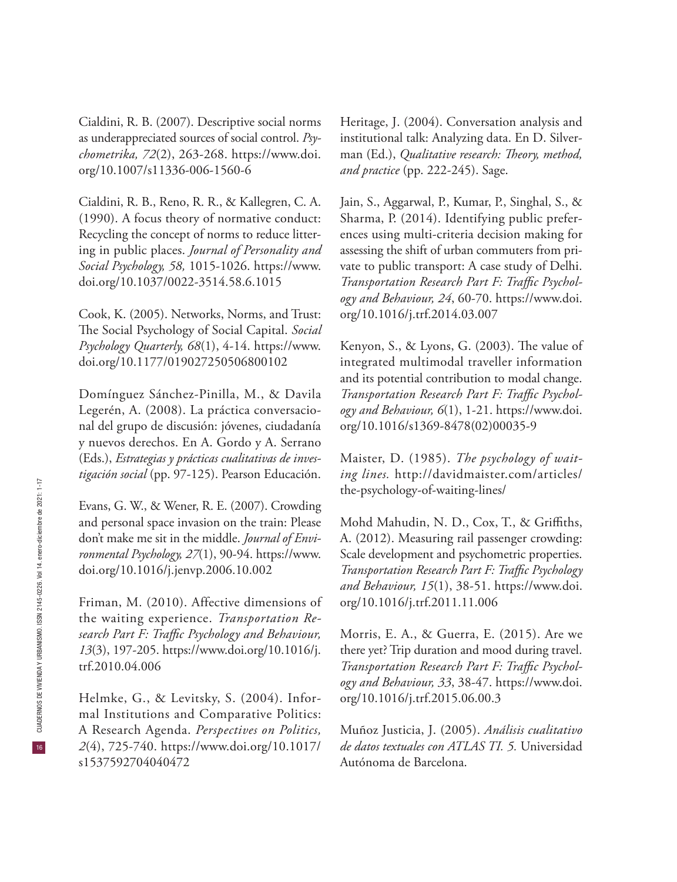Cialdini, R. B. (2007). Descriptive social norms as underappreciated sources of social control. *Psychometrika, 72*(2), 263-268. https://www.doi. org/10.1007/s11336-006-1560-6

Cialdini, R. B., Reno, R. R., & Kallegren, C. A. (1990). A focus theory of normative conduct: Recycling the concept of norms to reduce littering in public places. *Journal of Personality and Social Psychology, 58,* 1015-1026. https://www. doi.org/10.1037/0022-3514.58.6.1015

Cook, K. (2005). Networks, Norms, and Trust: The Social Psychology of Social Capital. *Social Psychology Quarterly, 68*(1), 4-14. https://www. doi.org/10.1177/019027250506800102

Domínguez Sánchez-Pinilla, M., & Davila Legerén, A. (2008). La práctica conversacional del grupo de discusión: jóvenes, ciudadanía y nuevos derechos. En A. Gordo y A. Serrano (Eds.), *Estrategias y prácticas cualitativas de investigación social* (pp. 97-125). Pearson Educación.

Evans, G. W., & Wener, R. E. (2007). Crowding and personal space invasion on the train: Please don't make me sit in the middle. *Journal of Environmental Psychology, 27*(1), 90-94. https://www. doi.org/10.1016/j.jenvp.2006.10.002

Friman, M. (2010). Affective dimensions of the waiting experience. *Transportation Research Part F: Traffic Psychology and Behaviour, 13*(3), 197-205. https://www.doi.org/10.1016/j. trf.2010.04.006

Helmke, G., & Levitsky, S. (2004). Informal Institutions and Comparative Politics: A Research Agenda. *Perspectives on Politics, 2*(4), 725-740. https://www.doi.org/10.1017/ s1537592704040472

Heritage, J. (2004). Conversation analysis and institutional talk: Analyzing data. En D. Silverman (Ed.), *Qualitative research: Theory, method, and practice* (pp. 222-245). Sage.

Jain, S., Aggarwal, P., Kumar, P., Singhal, S., & Sharma, P. (2014). Identifying public preferences using multi-criteria decision making for assessing the shift of urban commuters from private to public transport: A case study of Delhi. *Transportation Research Part F: Traffic Psychology and Behaviour, 24*, 60-70. https://www.doi. org/10.1016/j.trf.2014.03.007

Kenyon, S., & Lyons, G. (2003). The value of integrated multimodal traveller information and its potential contribution to modal change. *Transportation Research Part F: Traffic Psychology and Behaviour, 6*(1), 1-21. https://www.doi. org/10.1016/s1369-8478(02)00035-9

Maister, D. (1985). *The psychology of waiting lines.* http://davidmaister.com/articles/ the-psychology-of-waiting-lines/

Mohd Mahudin, N. D., Cox, T., & Griffiths, A. (2012). Measuring rail passenger crowding: Scale development and psychometric properties. *Transportation Research Part F: Traffic Psychology and Behaviour, 15*(1), 38-51. https://www.doi. org/10.1016/j.trf.2011.11.006

Morris, E. A., & Guerra, E. (2015). Are we there yet? Trip duration and mood during travel. *Transportation Research Part F: Traffic Psychology and Behaviour, 33*, 38-47. https://www.doi. org/10.1016/j.trf.2015.06.00.3

Muñoz Justicia, J. (2005). *Análisis cualitativo de datos textuales con ATLAS TI. 5.* Universidad Autónoma de Barcelona.

 $16$